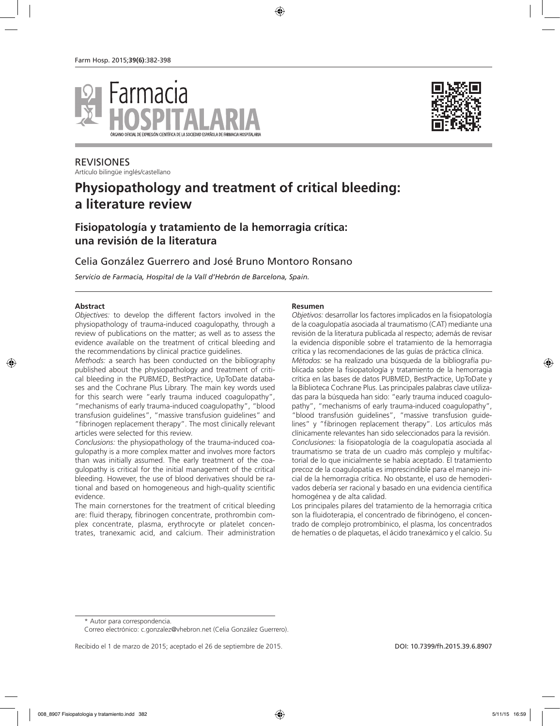



REVISIONES Artículo bilingüe inglés/castellano

# **Physiopathology and treatment of critical bleeding: a literature review**

# **Fisiopatología y tratamiento de la hemorragia crítica: una revisión de la literatura**

### Celia González Guerrero and José Bruno Montoro Ronsano

*Servicio de Farmacia, Hospital de la Vall d'Hebrón de Barcelona, Spain.*

#### **Abstract**

*Objectives:* to develop the different factors involved in the physiopathology of trauma-induced coagulopathy, through a review of publications on the matter; as well as to assess the evidence available on the treatment of critical bleeding and the recommendations by clinical practice guidelines.

*Methods:* a search has been conducted on the bibliography published about the physiopathology and treatment of critical bleeding in the PUBMED, BestPractice, UpToDate databases and the Cochrane Plus Library. The main key words used for this search were "early trauma induced coagulopathy", "mechanisms of early trauma-induced coagulopathy", "blood transfusion guidelines", "massive transfusion guidelines" and "fibrinogen replacement therapy". The most clinically relevant articles were selected for this review.

*Conclusions:* the physiopathology of the trauma-induced coagulopathy is a more complex matter and involves more factors than was initially assumed. The early treatment of the coagulopathy is critical for the initial management of the critical bleeding. However, the use of blood derivatives should be rational and based on homogeneous and high-quality scientific evidence.

The main cornerstones for the treatment of critical bleeding are: fluid therapy, fibrinogen concentrate, prothrombin complex concentrate, plasma, erythrocyte or platelet concentrates, tranexamic acid, and calcium. Their administration

#### **Resumen**

*Objetivos:* desarrollar los factores implicados en la fisiopatología de la coagulopatía asociada al traumatismo (CAT) mediante una revisión de la literatura publicada al respecto; además de revisar la evidencia disponible sobre el tratamiento de la hemorragia crítica y las recomendaciones de las guías de práctica clínica. *Métodos:* se ha realizado una búsqueda de la bibliografía publicada sobre la fisiopatología y tratamiento de la hemorragia crítica en las bases de datos PUBMED, BestPractice, UpToDate y la Biblioteca Cochrane Plus. Las principales palabras clave utilizadas para la búsqueda han sido: "early trauma induced coagulopathy", "mechanisms of early trauma-induced coagulopathy", "blood transfusión guidelines", "massive transfusion guidelines" y "fibrinogen replacement therapy". Los artículos más clínicamente relevantes han sido seleccionados para la revisión. *Conclusiones:* la fisiopatología de la coagulopatía asociada al traumatismo se trata de un cuadro más complejo y multifactorial de lo que inicialmente se había aceptado. El tratamiento precoz de la coagulopatía es imprescindible para el manejo inicial de la hemorragia crítica. No obstante, el uso de hemoderivados debería ser racional y basado en una evidencia científica homogénea y de alta calidad.

Los principales pilares del tratamiento de la hemorragia crítica son la fluidoterapia, el concentrado de fibrinógeno, el concentrado de complejo protrombínico, el plasma, los concentrados de hematíes o de plaquetas, el ácido tranexámico y el calcio. Su

Recibido el 1 de marzo de 2015; aceptado el 26 de septiembre de 2015. Componente de 2015. DOI: 10.7399/fh.2015.39.6.8907

<sup>\*</sup> Autor para correspondencia.

Correo electrónico: c.gonzalez@vhebron.net (Celia González Guerrero).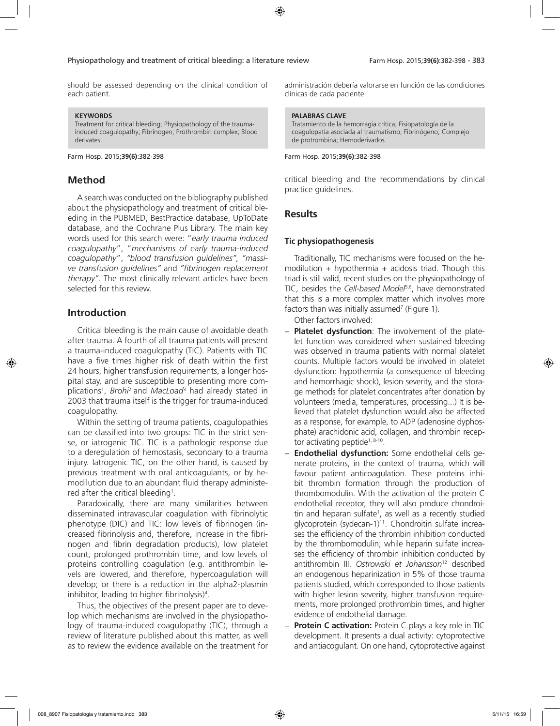should be assessed depending on the clinical condition of each patient.

#### **KEYWORDS**

Treatment for critical bleeding; Physiopathology of the traumainduced coagulopathy; Fibrinogen; Prothrombin complex; Blood derivates.

Farm Hosp. 2015;**39(6)**:382-398

# **Method**

A search was conducted on the bibliography published about the physiopathology and treatment of critical bleeding in the PUBMED, BestPractice database, UpToDate database, and the Cochrane Plus Library. The main key words used for this search were: "*early trauma induced coagulopathy*", "*mechanisms of early trauma-induced coagulopathy*", *"blood transfusion guidelines", "massive transfusion guidelines"* and *"fibrinogen replacement therapy".* The most clinically relevant articles have been selected for this review.

## **Introduction**

Critical bleeding is the main cause of avoidable death after trauma. A fourth of all trauma patients will present a trauma-induced coagulopathy (TIC). Patients with TIC have a five times higher risk of death within the first 24 hours, higher transfusion requirements, a longer hospital stay, and are susceptible to presenting more complications1 , *Brohi*2 and *MacLoad*<sup>3</sup> had already stated in 2003 that trauma itself is the trigger for trauma-induced coagulopathy.

Within the setting of trauma patients, coagulopathies can be classified into two groups: TIC in the strict sense, or iatrogenic TIC. TIC is a pathologic response due to a deregulation of hemostasis, secondary to a trauma injury. Iatrogenic TIC, on the other hand, is caused by previous treatment with oral anticoagulants, or by hemodilution due to an abundant fluid therapy administered after the critical bleeding<sup>1</sup>.

Paradoxically, there are many similarities between disseminated intravascular coagulation with fibrinolytic phenotype (DIC) and TIC: low levels of fibrinogen (increased fibrinolysis and, therefore, increase in the fibrinogen and fibrin degradation products), low platelet count, prolonged prothrombin time, and low levels of proteins controlling coagulation (e.g. antithrombin levels are lowered, and therefore, hypercoagulation will develop; or there is a reduction in the alpha2-plasmin inhibitor, leading to higher fibrinolysis)4 .

Thus, the objectives of the present paper are to develop which mechanisms are involved in the physiopathology of trauma-induced coagulopathy (TIC), through a review of literature published about this matter, as well as to review the evidence available on the treatment for administración debería valorarse en función de las condiciones clínicas de cada paciente.

#### **PALABRAS CLAVE**

Tratamiento de la hemorragia crítica; Fisiopatología de la coagulopatía asociada al traumatismo; Fibrinógeno; Complejo de protrombina; Hemoderivados

#### Farm Hosp. 2015;**39(6)**:382-398

critical bleeding and the recommendations by clinical practice guidelines.

### **Results**

### **Tic physiopathogenesis**

Traditionally, TIC mechanisms were focused on the hemodilution + hypothermia + acidosis triad. Though this triad is still valid, recent studies on the physiopathology of TIC, besides the *Cell-based Model*5,6, have demonstrated that this is a more complex matter which involves more factors than was initially assumed<sup>7</sup> (Figure 1).

Other factors involved:

- − **Platelet dysfunction**: The involvement of the platelet function was considered when sustained bleeding was observed in trauma patients with normal platelet counts. Multiple factors would be involved in platelet dysfunction: hypothermia (a consequence of bleeding and hemorrhagic shock), lesion severity, and the storage methods for platelet concentrates after donation by volunteers (media, temperatures, processing...) It is believed that platelet dysfunction would also be affected as a response, for example, to ADP (adenosine dyphosphate) arachidonic acid, collagen, and thrombin receptor activating peptide<sup>1, 8-10</sup>.
- − **Endothelial dysfunction:** Some endothelial cells generate proteins, in the context of trauma, which will favour patient anticoagulation. These proteins inhibit thrombin formation through the production of thrombomodulin. With the activation of the protein C endothelial receptor, they will also produce chondroitin and heparan sulfate<sup>1</sup>, as well as a recently studied glycoprotein (sydecan-1)<sup>11</sup>. Chondroitin sulfate increases the efficiency of the thrombin inhibition conducted by the thrombomodulin; while heparin sulfate increases the efficiency of thrombin inhibition conducted by antithrombin III. *Ostrowski et Johansson*12 described an endogenous heparinization in 5% of those trauma patients studied, which corresponded to those patients with higher lesion severity, higher transfusion requirements, more prolonged prothrombin times, and higher evidence of endothelial damage.
- − **Protein C activation:** Protein C plays a key role in TIC development. It presents a dual activity: cytoprotective and antiacogulant. On one hand, cytoprotective against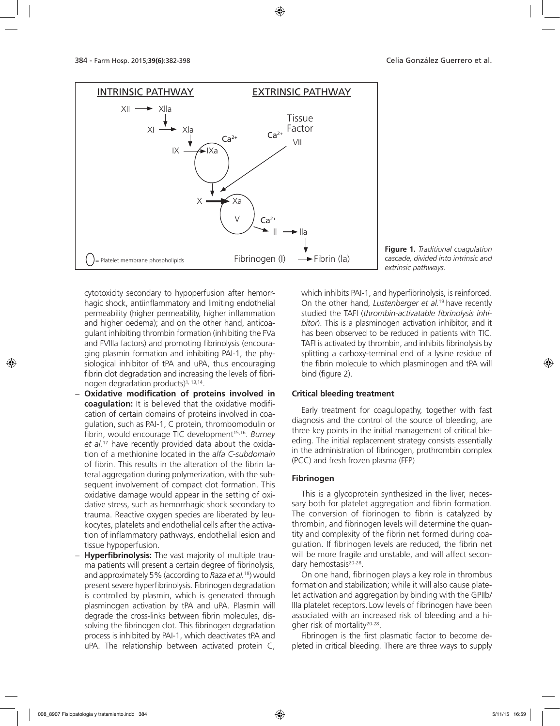

**Figure 1.** *Traditional coagulation cascade, divided into intrinsic and extrinsic pathways.*

cytotoxicity secondary to hypoperfusion after hemorrhagic shock, antiinflammatory and limiting endothelial permeability (higher permeability, higher inflammation and higher oedema); and on the other hand, anticoagulant inhibiting thrombin formation (inhibiting the FVa and FVIIIa factors) and promoting fibrinolysis (encouraging plasmin formation and inhibiting PAI-1, the physiological inhibitor of tPA and uPA, thus encouraging fibrin clot degradation and increasing the levels of fibrinogen degradation products) $1, 13, 14$ .

- − **Oxidative modification of proteins involved in coagulation:** It is believed that the oxidative modification of certain domains of proteins involved in coagulation, such as PAI-1, C protein, thrombomodulin or fibrin, would encourage TIC development<sup>15,16</sup>. *Burney et al.*17 have recently provided data about the oxidation of a methionine located in the *alfa C-subdomain* of fibrin. This results in the alteration of the fibrin lateral aggregation during polymerization, with the subsequent involvement of compact clot formation. This oxidative damage would appear in the setting of oxidative stress, such as hemorrhagic shock secondary to trauma. Reactive oxygen species are liberated by leukocytes, platelets and endothelial cells after the activation of inflammatory pathways, endothelial lesion and tissue hypoperfusion.
- − **Hyperfibrinolysis:** The vast majority of multiple trauma patients will present a certain degree of fibrinolysis, and approximately 5% (according to *Raza et al.*18) would present severe hyperfibrinolysis. Fibrinogen degradation is controlled by plasmin, which is generated through plasminogen activation by tPA and uPA. Plasmin will degrade the cross-links between fibrin molecules, dissolving the fibrinogen clot. This fibrinogen degradation process is inhibited by PAI-1, which deactivates tPA and uPA. The relationship between activated protein C,

which inhibits PAI-1, and hyperfibrinolysis, is reinforced. On the other hand, *Lustenberger et al.*19 have recently studied the TAFI (*thrombin-activatable fibrinolysis inhibitor*). This is a plasminogen activation inhibitor, and it has been observed to be reduced in patients with TIC. TAFI is activated by thrombin, and inhibits fibrinolysis by splitting a carboxy-terminal end of a lysine residue of the fibrin molecule to which plasminogen and tPA will bind (figure 2).

### **Critical bleeding treatment**

Early treatment for coagulopathy, together with fast diagnosis and the control of the source of bleeding, are three key points in the initial management of critical bleeding. The initial replacement strategy consists essentially in the administration of fibrinogen, prothrombin complex (PCC) and fresh frozen plasma (FFP)

#### **Fibrinogen**

This is a glycoprotein synthesized in the liver, necessary both for platelet aggregation and fibrin formation. The conversion of fibrinogen to fibrin is catalyzed by thrombin, and fibrinogen levels will determine the quantity and complexity of the fibrin net formed during coagulation. If fibrinogen levels are reduced, the fibrin net will be more fragile and unstable, and will affect secondary hemostasis<sup>20-28</sup>.

On one hand, fibrinogen plays a key role in thrombus formation and stabilization; while it will also cause platelet activation and aggregation by binding with the GPIIb/ IIIa platelet receptors. Low levels of fibrinogen have been associated with an increased risk of bleeding and a higher risk of mortality<sup>20-28</sup>.

Fibrinogen is the first plasmatic factor to become depleted in critical bleeding. There are three ways to supply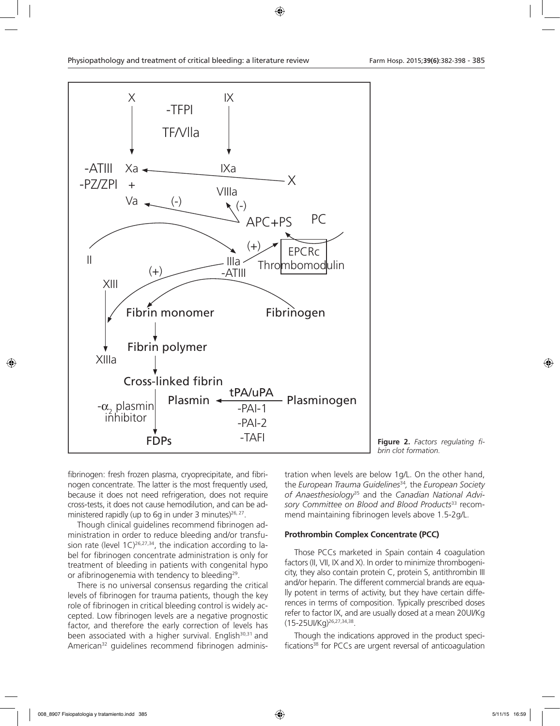

**Figure 2.** *Factors regulating fibrin clot formation.*

fibrinogen: fresh frozen plasma, cryoprecipitate, and fibrinogen concentrate. The latter is the most frequently used, because it does not need refrigeration, does not require cross-tests, it does not cause hemodilution, and can be administered rapidly (up to 6g in under 3 minutes) $26, 27$ .

Though clinical guidelines recommend fibrinogen administration in order to reduce bleeding and/or transfusion rate (level  $1C)^{26,27,34}$ , the indication according to label for fibrinogen concentrate administration is only for treatment of bleeding in patients with congenital hypo or afibrinogenemia with tendency to bleeding<sup>29</sup>.

There is no universal consensus regarding the critical levels of fibrinogen for trauma patients, though the key role of fibrinogen in critical bleeding control is widely accepted. Low fibrinogen levels are a negative prognostic factor, and therefore the early correction of levels has been associated with a higher survival. English<sup>30,31</sup> and American<sup>32</sup> guidelines recommend fibrinogen administration when levels are below 1g/L. On the other hand, the *European Trauma Guidelines*<sup>34</sup>*,* the *European Society of Anaesthesiology*<sup>35</sup> and the *Canadian National Advisory Committee on Blood and Blood Products*<sup>33</sup> recommend maintaining fibrinogen levels above 1.5-2g/L.

### **Prothrombin Complex Concentrate (PCC)**

Those PCCs marketed in Spain contain 4 coagulation factors (II, VII, IX and X). In order to minimize thrombogenicity, they also contain protein C, protein S, antithrombin III and/or heparin. The different commercial brands are equally potent in terms of activity, but they have certain differences in terms of composition. Typically prescribed doses refer to factor IX, and are usually dosed at a mean 20UI/Kg (15-25UI/Kg)26,27,34,38.

Though the indications approved in the product specifications<sup>38</sup> for PCCs are urgent reversal of anticoagulation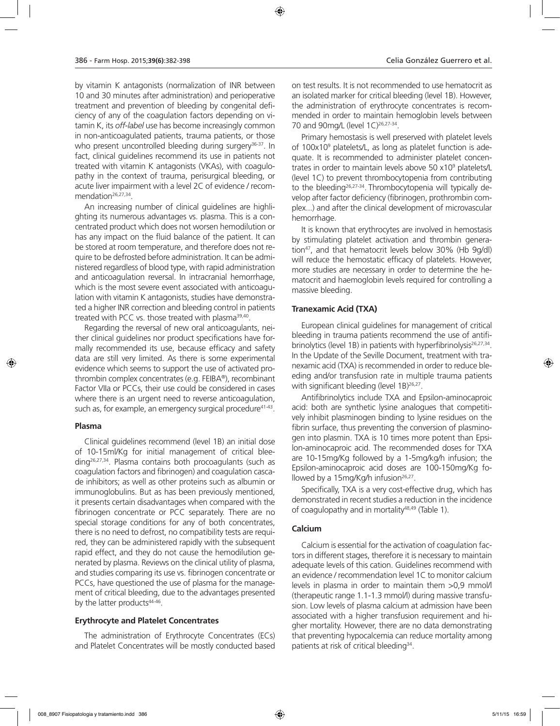by vitamin K antagonists (normalization of INR between 10 and 30 minutes after administration) and perioperative treatment and prevention of bleeding by congenital deficiency of any of the coagulation factors depending on vitamin K, its *off-label* use has become increasingly common in non-anticoagulated patients, trauma patients, or those who present uncontrolled bleeding during surgery<sup>36-37</sup>. In fact, clinical guidelines recommend its use in patients not treated with vitamin K antagonists (VKAs), with coagulopathy in the context of trauma, perisurgical bleeding, or acute liver impairment with a level 2C of evidence / recommendation<sup>26,27,34</sup>.

An increasing number of clinical guidelines are highlighting its numerous advantages vs. plasma. This is a concentrated product which does not worsen hemodilution or has any impact on the fluid balance of the patient. It can be stored at room temperature, and therefore does not require to be defrosted before administration. It can be administered regardless of blood type, with rapid administration and anticoagulation reversal. In intracranial hemorrhage, which is the most severe event associated with anticoagulation with vitamin K antagonists, studies have demonstrated a higher INR correction and bleeding control in patients treated with PCC vs. those treated with plasma<sup>39,40</sup>.

Regarding the reversal of new oral anticoagulants, neither clinical guidelines nor product specifications have formally recommended its use, because efficacy and safety data are still very limited. As there is some experimental evidence which seems to support the use of activated prothrombin complex concentrates (e.g. FEIBA®), recombinant Factor VIIa or PCCs, their use could be considered in cases where there is an urgent need to reverse anticoagulation, such as, for example, an emergency surgical procedure<sup>41-43</sup>.

#### **Plasma**

Clinical guidelines recommend (level 1B) an initial dose of 10-15ml/Kg for initial management of critical blee- $\frac{\text{diag}^{26,27,34}}{\text{diag}}$ . Plasma contains both procoagulants (such as coagulation factors and fibrinogen) and coagulation cascade inhibitors; as well as other proteins such as albumin or immunoglobulins. But as has been previously mentioned, it presents certain disadvantages when compared with the fibrinogen concentrate or PCC separately. There are no special storage conditions for any of both concentrates, there is no need to defrost, no compatibility tests are required, they can be administered rapidly with the subsequent rapid effect, and they do not cause the hemodilution generated by plasma. Reviews on the clinical utility of plasma, and studies comparing its use vs. fibrinogen concentrate or PCCs, have questioned the use of plasma for the management of critical bleeding, due to the advantages presented by the latter products<sup>44-46</sup>.

#### **Erythrocyte and Platelet Concentrates**

The administration of Erythrocyte Concentrates (ECs) and Platelet Concentrates will be mostly conducted based

on test results. It is not recommended to use hematocrit as an isolated marker for critical bleeding (level 1B). However, the administration of erythrocyte concentrates is recommended in order to maintain hemoglobin levels between 70 and 90mg/L (level 1C)<sup>26,27-34</sup>.

Primary hemostasis is well preserved with platelet levels of 100x109 platelets/L, as long as platelet function is adequate. It is recommended to administer platelet concentrates in order to maintain levels above 50 x109 platelets/L (level 1C) to prevent thrombocytopenia from contributing to the bleeding<sup>26,27-34</sup>. Thrombocytopenia will typically develop after factor deficiency (fibrinogen, prothrombin complex...) and after the clinical development of microvascular hemorrhage.

It is known that erythrocytes are involved in hemostasis by stimulating platelet activation and thrombin generation47, and that hematocrit levels below 30% (Hb 9g/dl) will reduce the hemostatic efficacy of platelets. However, more studies are necessary in order to determine the hematocrit and haemoglobin levels required for controlling a massive bleeding.

### **Tranexamic Acid (TXA)**

European clinical guidelines for management of critical bleeding in trauma patients recommend the use of antifibrinolytics (level 1B) in patients with hyperfibrinolysis<sup>26,27,34</sup>. In the Update of the Seville Document, treatment with tranexamic acid (TXA) is recommended in order to reduce bleeding and/or transfusion rate in multiple trauma patients with significant bleeding (level 1B)<sup>26,27</sup>.

Antifibrinolytics include TXA and Epsilon-aminocaproic acid: both are synthetic lysine analogues that competitively inhibit plasminogen binding to lysine residues on the fibrin surface, thus preventing the conversion of plasminogen into plasmin. TXA is 10 times more potent than Epsilon-aminocaproic acid. The recommended doses for TXA are 10-15mg/Kg followed by a 1-5mg/kg/h infusion; the Epsilon-aminocaproic acid doses are 100-150mg/Kg followed by a 15mg/Kg/h infusion $26,27$ .

Specifically, TXA is a very cost-effective drug, which has demonstrated in recent studies a reduction in the incidence of coagulopathy and in mortality<sup>48,49</sup> (Table 1).

### **Calcium**

Calcium is essential for the activation of coagulation factors in different stages, therefore it is necessary to maintain adequate levels of this cation. Guidelines recommend with an evidence / recommendation level 1C to monitor calcium levels in plasma in order to maintain them >0,9 mmol/l (therapeutic range 1.1-1.3 mmol/l) during massive transfusion. Low levels of plasma calcium at admission have been associated with a higher transfusion requirement and higher mortality. However, there are no data demonstrating that preventing hypocalcemia can reduce mortality among patients at risk of critical bleeding<sup>34</sup>.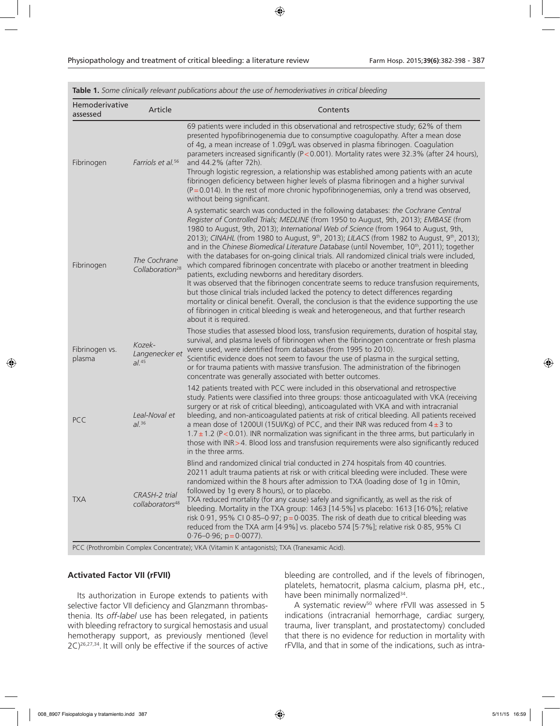| Hemoderivative<br>assessed | Article                                       | Contents                                                                                                                                                                                                                                                                                                                                                                                                                                                                                                                                                                                                                                                                                                                                                                                                                                                                                                                                                                                                                                                                                                                                                         |
|----------------------------|-----------------------------------------------|------------------------------------------------------------------------------------------------------------------------------------------------------------------------------------------------------------------------------------------------------------------------------------------------------------------------------------------------------------------------------------------------------------------------------------------------------------------------------------------------------------------------------------------------------------------------------------------------------------------------------------------------------------------------------------------------------------------------------------------------------------------------------------------------------------------------------------------------------------------------------------------------------------------------------------------------------------------------------------------------------------------------------------------------------------------------------------------------------------------------------------------------------------------|
| Fibrinogen                 | Farriols et al. <sup>56</sup>                 | 69 patients were included in this observational and retrospective study; 62% of them<br>presented hypofibrinogenemia due to consumptive coagulopathy. After a mean dose<br>of 4g, a mean increase of 1.09g/L was observed in plasma fibrinogen. Coagulation<br>parameters increased significantly (P<0.001). Mortality rates were 32.3% (after 24 hours),<br>and 44.2% (after 72h).<br>Through logistic regression, a relationship was established among patients with an acute<br>fibrinogen deficiency between higher levels of plasma fibrinogen and a higher survival<br>$(P = 0.014)$ . In the rest of more chronic hypofibrinogenemias, only a trend was observed,<br>without being significant.                                                                                                                                                                                                                                                                                                                                                                                                                                                           |
| Fibrinogen                 | The Cochrane<br>Collaboration <sup>28</sup>   | A systematic search was conducted in the following databases: the Cochrane Central<br>Register of Controlled Trials; MEDLINE (from 1950 to August, 9th, 2013); EMBASE (from<br>1980 to August, 9th, 2013); International Web of Science (from 1964 to August, 9th,<br>2013); CINAHL (from 1980 to August, 9 <sup>th</sup> , 2013); LILACS (from 1982 to August, 9 <sup>th</sup> , 2013);<br>and in the Chinese Biomedical Literature Database (until November, 10 <sup>th</sup> , 2011); together<br>with the databases for on-going clinical trials. All randomized clinical trials were included,<br>which compared fibrinogen concentrate with placebo or another treatment in bleeding<br>patients, excluding newborns and hereditary disorders.<br>It was observed that the fibrinogen concentrate seems to reduce transfusion requirements,<br>but those clinical trials included lacked the potency to detect differences regarding<br>mortality or clinical benefit. Overall, the conclusion is that the evidence supporting the use<br>of fibrinogen in critical bleeding is weak and heterogeneous, and that further research<br>about it is required. |
| Fibrinogen vs.<br>plasma   | Kozek-<br>Langenecker et<br>al. <sup>45</sup> | Those studies that assessed blood loss, transfusion requirements, duration of hospital stay,<br>survival, and plasma levels of fibrinogen when the fibrinogen concentrate or fresh plasma<br>were used, were identified from databases (from 1995 to 2010).<br>Scientific evidence does not seem to favour the use of plasma in the surgical setting,<br>or for trauma patients with massive transfusion. The administration of the fibrinogen<br>concentrate was generally associated with better outcomes.                                                                                                                                                                                                                                                                                                                                                                                                                                                                                                                                                                                                                                                     |
| <b>PCC</b>                 | Leal-Noval et<br>al. <sup>36</sup>            | 142 patients treated with PCC were included in this observational and retrospective<br>study. Patients were classified into three groups: those anticoagulated with VKA (receiving<br>surgery or at risk of critical bleeding), anticoagulated with VKA and with intracranial<br>bleeding, and non-anticoagulated patients at risk of critical bleeding. All patients received<br>a mean dose of 1200UI (15UI/Kg) of PCC, and their INR was reduced from $4\pm3$ to<br>$1.7 \pm 1.2$ (P<0.01). INR normalization was significant in the three arms, but particularly in<br>those with INR > 4. Blood loss and transfusion requirements were also significantly reduced<br>in the three arms.                                                                                                                                                                                                                                                                                                                                                                                                                                                                     |
| <b>TXA</b>                 | CRASH-2 trial<br>collaborators <sup>48</sup>  | Blind and randomized clinical trial conducted in 274 hospitals from 40 countries.<br>20211 adult trauma patients at risk or with critical bleeding were included. These were<br>randomized within the 8 hours after admission to TXA (loading dose of 1g in 10min,<br>followed by 1g every 8 hours), or to placebo.<br>TXA reduced mortality (for any cause) safely and significantly, as well as the risk of<br>bleeding. Mortality in the TXA group: 1463 [14.5%] vs placebo: 1613 [16.0%]; relative<br>risk 0.91, 95% CI 0.85-0.97; $p = 0.0035$ . The risk of death due to critical bleeding was<br>reduced from the TXA arm [4.9%] vs. placebo 574 [5.7%]; relative risk 0.85, 95% CI<br>$0.76 - 0.96$ ; $p = 0.0077$ ).                                                                                                                                                                                                                                                                                                                                                                                                                                    |

**Table 1.** *Some clinically relevant publications about the use of hemoderivatives in critical bleeding*

PCC (Prothrombin Complex Concentrate); VKA (Vitamin K antagonists); TXA (Tranexamic Acid).

### **Activated Factor VII (rFVII)**

Its authorization in Europe extends to patients with selective factor VII deficiency and Glanzmann thrombasthenia. Its *off-label* use has been relegated, in patients with bleeding refractory to surgical hemostasis and usual hemotherapy support, as previously mentioned (level 2C)26,27,34. It will only be effective if the sources of active

bleeding are controlled, and if the levels of fibrinogen, platelets, hematocrit, plasma calcium, plasma pH, etc., have been minimally normalized<sup>34</sup>.

A systematic review<sup>50</sup> where rFVII was assessed in 5 indications (intracranial hemorrhage, cardiac surgery, trauma, liver transplant, and prostatectomy) concluded that there is no evidence for reduction in mortality with rFVIIa, and that in some of the indications, such as intra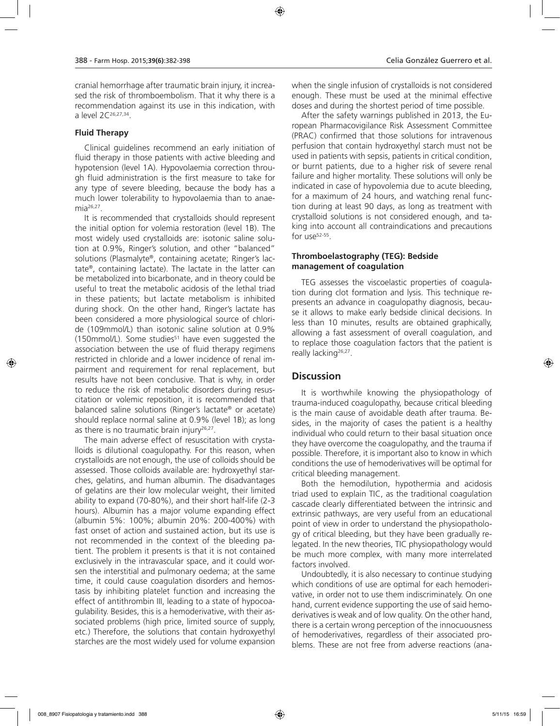cranial hemorrhage after traumatic brain injury, it increased the risk of thromboembolism. That it why there is a recommendation against its use in this indication, with a level 2C26,27,34.

### **Fluid Therapy**

Clinical guidelines recommend an early initiation of fluid therapy in those patients with active bleeding and hypotension (level 1A). Hypovolaemia correction through fluid administration is the first measure to take for any type of severe bleeding, because the body has a much lower tolerability to hypovolaemia than to anaemia26,27.

It is recommended that crystalloids should represent the initial option for volemia restoration (level 1B). The most widely used crystalloids are: isotonic saline solution at 0.9%, Ringer's solution, and other "balanced" solutions (Plasmalyte®, containing acetate; Ringer's lactate®, containing lactate). The lactate in the latter can be metabolized into bicarbonate, and in theory could be useful to treat the metabolic acidosis of the lethal triad in these patients; but lactate metabolism is inhibited during shock. On the other hand, Ringer's lactate has been considered a more physiological source of chloride (109mmol/L) than isotonic saline solution at 0.9% (150mmol/L). Some studies<sup>51</sup> have even suggested the association between the use of fluid therapy regimens restricted in chloride and a lower incidence of renal impairment and requirement for renal replacement, but results have not been conclusive. That is why, in order to reduce the risk of metabolic disorders during resuscitation or volemic reposition, it is recommended that balanced saline solutions (Ringer's lactate® or acetate) should replace normal saline at 0.9% (level 1B); as long as there is no traumatic brain injury $26,27$ .

The main adverse effect of resuscitation with crystalloids is dilutional coagulopathy. For this reason, when crystalloids are not enough, the use of colloids should be assessed. Those colloids available are: hydroxyethyl starches, gelatins, and human albumin. The disadvantages of gelatins are their low molecular weight, their limited ability to expand (70-80%), and their short half-life (2-3 hours). Albumin has a major volume expanding effect (albumin 5%: 100%; albumin 20%: 200-400%) with fast onset of action and sustained action, but its use is not recommended in the context of the bleeding patient. The problem it presents is that it is not contained exclusively in the intravascular space, and it could worsen the interstitial and pulmonary oedema; at the same time, it could cause coagulation disorders and hemostasis by inhibiting platelet function and increasing the effect of antithrombin III, leading to a state of hypocoagulability. Besides, this is a hemoderivative, with their associated problems (high price, limited source of supply, etc.) Therefore, the solutions that contain hydroxyethyl starches are the most widely used for volume expansion

when the single infusion of crystalloids is not considered enough. These must be used at the minimal effective doses and during the shortest period of time possible.

After the safety warnings published in 2013, the European Pharmacovigilance Risk Assessment Committee (PRAC) confirmed that those solutions for intravenous perfusion that contain hydroxyethyl starch must not be used in patients with sepsis, patients in critical condition, or burnt patients, due to a higher risk of severe renal failure and higher mortality. These solutions will only be indicated in case of hypovolemia due to acute bleeding, for a maximum of 24 hours, and watching renal function during at least 90 days, as long as treatment with crystalloid solutions is not considered enough, and taking into account all contraindications and precautions for use $52-55$ .

### **Thromboelastography (TEG): Bedside management of coagulation**

TEG assesses the viscoelastic properties of coagulation during clot formation and lysis. This technique represents an advance in coagulopathy diagnosis, because it allows to make early bedside clinical decisions. In less than 10 minutes, results are obtained graphically, allowing a fast assessment of overall coagulation, and to replace those coagulation factors that the patient is really lacking<sup>26,27</sup>.

### **Discussion**

It is worthwhile knowing the physiopathology of trauma-induced coagulopathy, because critical bleeding is the main cause of avoidable death after trauma. Besides, in the majority of cases the patient is a healthy individual who could return to their basal situation once they have overcome the coagulopathy, and the trauma if possible. Therefore, it is important also to know in which conditions the use of hemoderivatives will be optimal for critical bleeding management.

Both the hemodilution, hypothermia and acidosis triad used to explain TIC, as the traditional coagulation cascade clearly differentiated between the intrinsic and extrinsic pathways, are very useful from an educational point of view in order to understand the physiopathology of critical bleeding, but they have been gradually relegated. In the new theories, TIC physiopathology would be much more complex, with many more interrelated factors involved.

Undoubtedly, it is also necessary to continue studying which conditions of use are optimal for each hemoderivative, in order not to use them indiscriminately. On one hand, current evidence supporting the use of said hemoderivatives is weak and of low quality. On the other hand, there is a certain wrong perception of the innocuousness of hemoderivatives, regardless of their associated problems. These are not free from adverse reactions (ana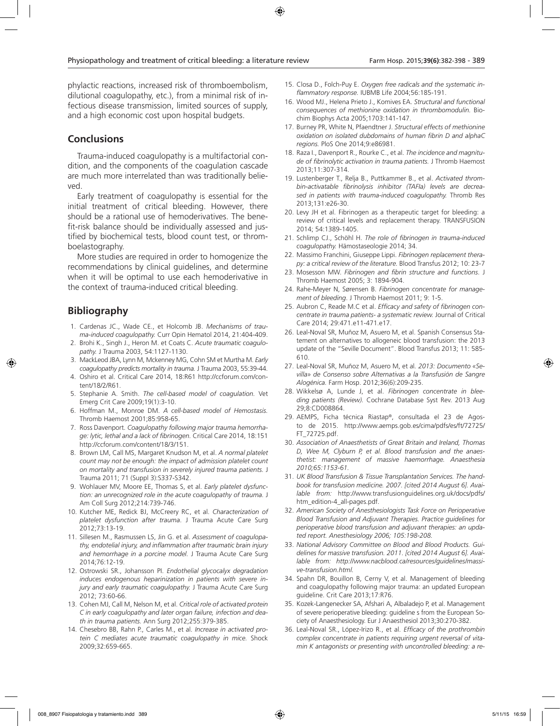phylactic reactions, increased risk of thromboembolism, dilutional coagulopathy, etc.), from a minimal risk of infectious disease transmission, limited sources of supply, and a high economic cost upon hospital budgets.

### **Conclusions**

Trauma-induced coagulopathy is a multifactorial condition, and the components of the coagulation cascade are much more interrelated than was traditionally believed.

Early treatment of coagulopathy is essential for the initial treatment of critical bleeding. However, there should be a rational use of hemoderivatives. The benefit-risk balance should be individually assessed and justified by biochemical tests, blood count test, or thromboelastography.

More studies are required in order to homogenize the recommendations by clinical guidelines, and determine when it will be optimal to use each hemoderivative in the context of trauma-induced critical bleeding.

# **Bibliography**

- 1. Cardenas JC., Wade CE., et Holcomb JB. *Mechanisms of trauma-induced coagulopathy.* Curr Opin Hematol 2014, 21:404-409.
- 2. Brohi K., Singh J., Heron M. et Coats C. *Acute traumatic coagulopathy.* J Trauma 2003, 54:1127-1130.
- 3. MackLeod JBA, Lynn M, Mckenney MG, Cohn SM et Murtha M. *Early coagulopathy predicts mortality in trauma.* J Trauma 2003, 55:39-44.
- 4. Oshiro et al. Critical Care 2014, 18:R61 http://ccforum.com/content/18/2/R61.
- 5. Stephanie A. Smith. *The cell-based model of coagulation.* Vet Emerg Crit Care 2009;19(1):3-10.
- 6. Hoffman M., Monroe DM. *A cell-based model of Hemostasis.*  Thromb Haemost 2001;85:958-65.
- 7. Ross Davenport. *Coagulopathy following major trauma hemorrhage: lytic, lethal and a lack of fibrinogen.* Critical Care 2014, 18:151 http://ccforum.com/content/18/3/151.
- 8. Brown LM, Call MS, Margaret Knudson M, et al. *A normal platelet count may not be enough: the impact of admission platelet count on mortality and transfusion in severely injured trauma patients.* J Trauma 2011; 71 (Suppl 3):S337-S342.
- 9. Wohlauer MV, Moore EE, Thomas S, et al. *Early platelet dysfunction: an unrecognized role in the acute coagulopathy of trauma.* J Am Coll Surg 2012;214:739-746.
- 10. Kutcher ME, Redick BJ, McCreery RC, et al. *Characterization of platelet dysfunction after trauma*. J Trauma Acute Care Surg 2012;73:13-19.
- 11. Sillesen M., Rasmussen LS, Jin G. et al. *Assessment of coagulopathy, endotelial injury, and inflammation after traumatic brain injury and hemorrhage in a porcine model.* J Trauma Acute Care Surg 2014;76:12-19.
- 12. Ostrowski SR., Johansson PI. *Endothelial glycocalyx degradation induces endogenous heparinization in patients with severe injury and early traumatic coagulopathy.* J Trauma Acute Care Surg 2012; 73:60-66.
- 13. Cohen MJ, Call M, Nelson M, et al. *Critical role of activated protein C in early coagulopathy and later organ failure, infection and death in trauma patients.* Ann Surg 2012;255:379-385.
- 14. Chesebro BB, Rahn P., Carles M., et al. *Increase in activated protein C mediates acute traumatic coagulopathy in mice.* Shock 2009;32:659-665.
- 15. Closa D., Folch-Puy E. *Oxygen free radicals and the systematic inflammatory response.* IUBMB Life 2004;56:185-191.
- 16. Wood MJ., Helena Prieto J., Komives EA. *Structural and functional consequences of methionine oxidation in thrombomodulin.* Biochim Biophys Acta 2005;1703:141-147.
- 17. Burney PR, White N, Pfaendtner J. *Structural effects of methionine oxidation on isolated dubdomains of human fibrin D and alphaC regions.* PloS One 2014;9:e86981.
- 18. Raza I., Davenport R., Rourke C., et al. *The incidence and magnitude of fibrinolytic activation in trauma patients.* J Thromb Haemost 2013;11:307-314.
- 19. Lustenberger T., Relja B., Puttkammer B., et al. *Activated thrombin-activatable fibrinolysis inhibitor (TAFIa) levels are decreased in patients with trauma-induced coagulopathy.* Thromb Res 2013;131:e26-30.
- 20. Levy JH et al. Fibrinogen as a therapeutic target for bleeding: a review of critical levels and replacement therapy. TRANSFUSION 2014; 54:1389-1405.
- 21. Schlimp CJ., Schöhl H. *The role of fibrinogen in trauma-induced coagulopathy.* Hämostaseologie 2014; 34.
- 22. Massimo Franchini, Giuseppe Lippi. *Fibrinogen replacement therapy: a critical review of the literature.* Blood Transfus 2012; 10: 23-7
- 23. Mosesson MW. *Fibrinogen and fibrin structure and functions*. J Thromb Haemost 2005; 3: 1894-904.
- 24. Rahe-Meyer N, Sørensen B. *Fibrinogen concentrate for management of bleeding*. J Thromb Haemost 2011; 9: 1-5.
- 25. Aubron C, Reade M.C et al. *Efficacy and safety of fibrinogen concentrate in trauma patients- a systematic review.* Journal of Critical Care 2014; 29:471.e11-471.e17.
- 26. Leal-Noval SR, Muñoz M, Asuero M, et al. Spanish Consensus Statement on alternatives to allogeneic blood transfusion: the 2013 update of the "Seville Document". Blood Transfus 2013; 11: 585- 610.
- 27. Leal-Noval SR, Muñoz M, Asuero M, et al*. 2013: Documento «Sevilla» de Consenso sobre Alternativas a la Transfusión de Sangre Alogénica.* Farm Hosp. 2012;36(6):209-235.
- 28. Wikkelsø A, Lunde J, et al. *Fibrinogen concentrate in bleeding patients (Review).* Cochrane Database Syst Rev. 2013 Aug 29;8:CD008864.
- 29. AEMPS, Ficha técnica Riastap®, consultada el 23 de Agosto de 2015. http://www.aemps.gob.es/cima/pdfs/es/ft/72725/ FT\_72725.pdf.
- 30. *Association of Anaesthetists of Great Britain and Ireland, Thomas D, Wee M, Clyburn P, et al. Blood transfusion and the anaesthetist: management of massive haemorrhage. Anaesthesia 2010;65:1153-61.*
- 31. *UK Blood Transfusion & Tissue Transplantation Services. The handbook for transfusion medicine. 2007. [cited 2014 August 6]. Available from:* http://www.transfusionguidelines.org.uk/docs/pdfs/ htm\_edition-4\_all-pages.pdf.
- 32. *American Society of Anesthesiologists Task Force on Perioperative Blood Transfusion and Adjuvant Therapies. Practice guidelines for perioperative blood transfusion and adjuvant therapies: an updated report. Anesthesiology 2006; 105:198-208.*
- 33. *National Advisory Committee on Blood and Blood Products. Guidelines for massive transfusion. 2011. [cited 2014 August 6]. Available from: http://www.nacblood.ca/resources/guidelines/massive-transfusion.html.*
- 34. Spahn DR, Bouillon B, Cerny V, et al. Management of bleeding and coagulopathy following major trauma: an updated European guideline. Crit Care 2013;17:R76.
- 35. Kozek-Langenecker SA, Afshari A, Albaladejo P, et al. Management of severe perioperative bleeding: guideline s from the European Society of Anaesthesiology. Eur J Anaesthesiol 2013;30:270-382.
- 36. Leal-Noval SR., López-Irizo R., et al. *Efficacy of the prothrombin complex concentrate in patients requiring urgent reversal of vitamin K antagonists or presenting with uncontrolled bleeding: a re-*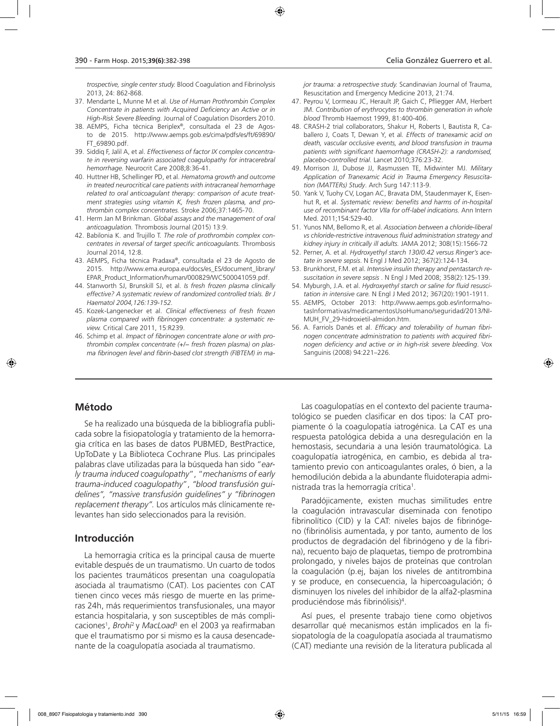*trospective, single center study.* Blood Coagulation and Fibrinolysis 2013, 24: 862-868.

- 37. Mendarte L, Munne M et al. *Use of Human Prothrombin Complex Concentrate in patients with Acquired Deficiency an Active or in High-Risk Severe Bleeding.* Journal of Coagulation Disorders 2010.
- 38. AEMPS, Ficha técnica Beriplex®, consultada el 23 de Agosto de 2015. http://www.aemps.gob.es/cima/pdfs/es/ft/69890/ FT\_69890.pdf.
- 39. Siddiq F, Jalil A, et al. *Effectiveness of factor IX complex concentrate in reversing warfarin associated coagulopathy for intracerebral hemorrhage.* Neurocrit Care 2008;8:36-41.
- 40. Huttner HB, Schellinger PD, et al. *Hematoma growth and outcome in treated neurocritical care patients with intracraneal hemorrhage related to oral anticoagulant therapy: comparison of acute treatment strategies using vitamin K, fresh frozen plasma, and prothrombin complex concentrates.* Stroke 2006;37:1465-70.
- 41. Herm Jan M Brinkman. *Global assays and the management of oral anticoagulation.* Thrombosis Journal (2015) 13:9.
- 42. Babilonia K. and Trujillo T. *The role of prothrombin complex concentrates in reversal of target specific anticoagulants.* Thrombosis Journal 2014, 12:8.
- 43. AEMPS, Ficha técnica Pradaxa®, consultada el 23 de Agosto de 2015. http://www.ema.europa.eu/docs/es\_ES/document\_library/ EPAR\_Product\_Information/human/000829/WC500041059.pdf.
- 44. Stanworth SJ, Brunskill SJ, et al. *Is fresh frozen plasma clinically effective? A systematic review of randomized controlled trials. Br J Haematol 2004,126:139-152.*
- 45. Kozek-Langenecker et al. *Clinical effectiveness of fresh frozen plasma compared with fibrinogen concentrate: a systematic review.* Critical Care 2011, 15:R239.
- 46. Schimp et al. *Impact of fibrinogen concentrate alone or with prothrombin complex concentrate (+/− fresh frozen plasma) on plasma fibrinogen level and fibrin-based clot strength (FIBTEM) in ma-*

*jor trauma: a retrospective study.* Scandinavian Journal of Trauma, Resuscitation and Emergency Medicine 2013, 21:74.

- 47. Peyrou V, Lormeau JC, Herault JP, Gaich C, Pfliegger AM, Herbert JM. *Contribution of erythrocytes to thrombin generation in whole blood* Thromb Haemost 1999, 81:400-406.
- 48. CRASH-2 trial collaborators, Shakur H, Roberts I, Bautista R, Caballero J, Coats T, Dewan Y, et al*. Effects of tranexamic acid on death, vascular occlusive events, and blood transfusion in trauma patients with significant haemorrhage (CRASH-2): a randomised, placebo-controlled trial.* Lancet 2010;376:23-32.
- 49. Morrison JJ, Dubose JJ, Rasmussen TE, Midwinter MJ. *Military Application of Tranexamic Acid in Trauma Emergency Resuscitation (MATTERs) Study*. Arch Surg 147:113-9.
- 50. Yank V, Tuohy CV, Logan AC, Bravata DM, Staudenmayer K, Eisenhut R, et al. *Systematic review: benefits and harms of in-hospital use of recombinant factor VIIa for off-label indications.* Ann Intern Med. 2011;154:529-40.
- 51. Yunos NM, Bellomo R, et al. *Association between a chloride-liberal vs chloride-restrictive intravenous fluid administration strategy and kidney injury in critically ill adults.* JAMA 2012; 308(15):1566-72
- 52. Perner, A. et al. *Hydroxyethyl starch 130/0.42 versus Ringer's acetate in severe sepsis*. N Engl J Med 2012; 367(2):124-134.
- 53. Brunkhorst, F.M. et al. *Intensive insulin therapy and pentastarch resuscitation in severe sepsis* . N Engl J Med 2008; 358(2):125-139.
- 54. Myburgh, J.A. et al. *Hydroxyethyl starch or saline for fluid resuscitation in intensive care.* N Engl J Med 2012; 367(20):1901-1911.
- 55. AEMPS, October 2013: http://www.aemps.gob.es/informa/notasInformativas/medicamentosUsoHumano/seguridad/2013/NI-MUH\_FV\_29-hidroxietil-almidon.htm.
- 56. A. Farriols Danés et al. *Efficacy and tolerability of human fibrinogen concentrate administration to patients with acquired fibrinogen deficiency and active or in high-risk severe bleeding*. Vox Sanguinis (2008) 94:221–226.

### **Método**

Se ha realizado una búsqueda de la bibliografía publicada sobre la fisiopatología y tratamiento de la hemorragia crítica en las bases de datos PUBMED, BestPractice, UpToDate y La Biblioteca Cochrane Plus. Las principales palabras clave utilizadas para la búsqueda han sido "*early trauma induced coagulopathy*", "*mechanisms of early trauma-induced coagulopathy*", *"blood transfusión guidelines", "massive transfusión guidelines" y "fibrinogen replacement therapy".* Los artículos más clínicamente relevantes han sido seleccionados para la revisión.

### **Introducción**

La hemorragia crítica es la principal causa de muerte evitable después de un traumatismo. Un cuarto de todos los pacientes traumáticos presentan una coagulopatía asociada al traumatismo (CAT). Los pacientes con CAT tienen cinco veces más riesgo de muerte en las primeras 24h, más requerimientos transfusionales, una mayor estancia hospitalaria, y son susceptibles de más complicaciones1 , *Brohi*2 y *MacLoad*<sup>3</sup> en el 2003 ya reafirmaban que el traumatismo por si mismo es la causa desencadenante de la coagulopatía asociada al traumatismo.

Las coagulopatías en el contexto del paciente traumatológico se pueden clasificar en dos tipos: la CAT propiamente ó la coagulopatía iatrogénica. La CAT es una respuesta patológica debida a una desregulación en la hemostasis, secundaria a una lesión traumatológica. La coagulopatía iatrogénica, en cambio, es debida al tratamiento previo con anticoagulantes orales, ó bien, a la hemodilución debida a la abundante fluidoterapia administrada tras la hemorragía crítica<sup>1</sup>.

Paradójicamente, existen muchas similitudes entre la coagulación intravascular diseminada con fenotipo fibrinolítico (CID) y la CAT: niveles bajos de fibrinógeno (fibrinólisis aumentada, y por tanto, aumento de los productos de degradación del fibrinógeno y de la fibrina), recuento bajo de plaquetas, tiempo de protrombina prolongado, y niveles bajos de proteínas que controlan la coagulación (p.ej, bajan los niveles de antitrombina y se produce, en consecuencia, la hipercoagulación; ó disminuyen los niveles del inhibidor de la alfa2-plasmina produciéndose más fibrinólisis)4 .

Así pues, el presente trabajo tiene como objetivos desarrollar qué mecanismos están implicados en la fisiopatología de la coagulopatía asociada al traumatismo (CAT) mediante una revisión de la literatura publicada al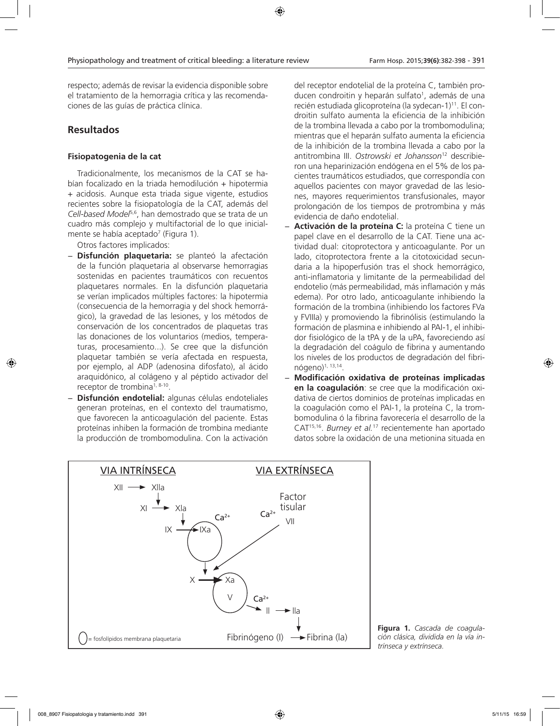respecto; además de revisar la evidencia disponible sobre el tratamiento de la hemorragia crítica y las recomendaciones de las guías de práctica clínica.

# **Resultados**

### **Fisiopatogenia de la cat**

Tradicionalmente, los mecanismos de la CAT se habían focalizado en la triada hemodilución + hipotermia + acidosis. Aunque esta triada sigue vigente, estudios recientes sobre la fisiopatología de la CAT, además del *Cell-based Model*5,6, han demostrado que se trata de un cuadro más complejo y multifactorial de lo que inicialmente se había aceptado<sup>7</sup> (Figura 1).

Otros factores implicados:

- − **Disfunción plaquetaria:** se planteó la afectación de la función plaquetaria al observarse hemorragias sostenidas en pacientes traumáticos con recuentos plaquetares normales. En la disfunción plaquetaria se verían implicados múltiples factores: la hipotermia (consecuencia de la hemorragia y del shock hemorrágico), la gravedad de las lesiones, y los métodos de conservación de los concentrados de plaquetas tras las donaciones de los voluntarios (medios, temperaturas, procesamiento...). Se cree que la disfunción plaquetar también se vería afectada en respuesta, por ejemplo, al ADP (adenosina difosfato), al ácido araquidónico, al colágeno y al péptido activador del receptor de trombina<sup>1, 8-10</sup>.
- − **Disfunción endotelial:** algunas células endoteliales generan proteínas, en el contexto del traumatismo, que favorecen la anticoagulación del paciente. Estas proteínas inhiben la formación de trombina mediante la producción de trombomodulina. Con la activación

del receptor endotelial de la proteína C, también producen condroitin y heparán sulfato<sup>1</sup>, además de una recién estudiada glicoproteína (la sydecan-1)<sup>11</sup>. El condroitin sulfato aumenta la eficiencia de la inhibición de la trombina llevada a cabo por la trombomodulina; mientras que el heparán sulfato aumenta la eficiencia de la inhibición de la trombina llevada a cabo por la antitrombina III. *Ostrowski et Johansson*12 describieron una heparinización endógena en el 5% de los pacientes traumáticos estudiados, que correspondía con aquellos pacientes con mayor gravedad de las lesiones, mayores requerimientos transfusionales, mayor prolongación de los tiempos de protrombina y más evidencia de daño endotelial.

- − **Activación de la proteína C:** la proteína C tiene un papel clave en el desarrollo de la CAT. Tiene una actividad dual: citoprotectora y anticoagulante. Por un lado, citoprotectora frente a la citotoxicidad secundaria a la hipoperfusión tras el shock hemorrágico, anti-inflamatoria y limitante de la permeabilidad del endotelio (más permeabilidad, más inflamación y más edema). Por otro lado, anticoagulante inhibiendo la formación de la trombina (inhibiendo los factores FVa y FVIIIa) y promoviendo la fibrinólisis (estimulando la formación de plasmina e inhibiendo al PAI-1, el inhibidor fisiológico de la tPA y de la uPA, favoreciendo así la degradación del coágulo de fibrina y aumentando los niveles de los productos de degradación del fibrinógeno)1, 13,14.
- − **Modificación oxidativa de proteínas implicadas en la coagulación**: se cree que la modificación oxidativa de ciertos dominios de proteínas implicadas en la coagulación como el PAI-1, la proteína C, la trombomodulina ó la fibrina favorecería el desarrollo de la CAT15,16. *Burney et al.*17 recientemente han aportado datos sobre la oxidación de una metionina situada en



**Figura 1.** *Cascada de coagulación clásica, dividida en la vía intrínseca y extrínseca.*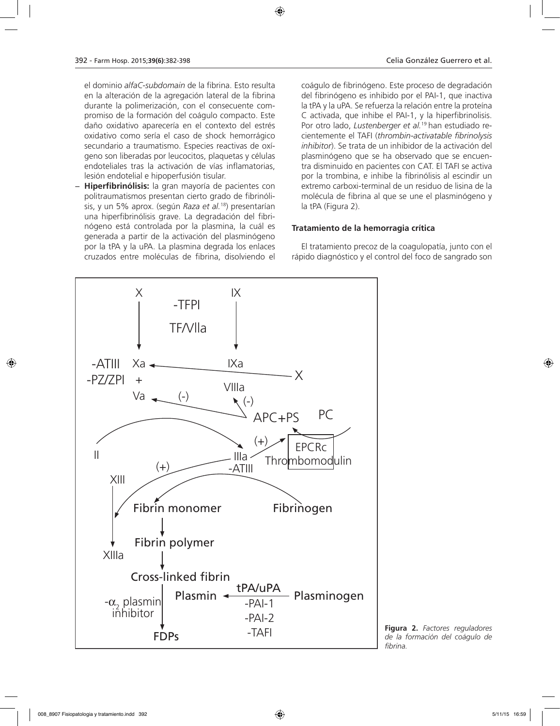el dominio *alfaC-subdomain* de la fibrina. Esto resulta en la alteración de la agregación lateral de la fibrina durante la polimerización, con el consecuente compromiso de la formación del coágulo compacto. Este daño oxidativo aparecería en el contexto del estrés oxidativo como sería el caso de shock hemorrágico secundario a traumatismo. Especies reactivas de oxígeno son liberadas por leucocitos, plaquetas y células endoteliales tras la activación de vías inflamatorias, lesión endotelial e hipoperfusión tisular.

− **Hiperfibrinólisis:** la gran mayoría de pacientes con politraumatismos presentan cierto grado de fibrinólisis, y un 5% aprox. (según *Raza et al.*18) presentarían una hiperfibrinólisis grave. La degradación del fibrinógeno está controlada por la plasmina, la cuál es generada a partir de la activación del plasminógeno por la tPA y la uPA. La plasmina degrada los enlaces cruzados entre moléculas de fibrina, disolviendo el coágulo de fibrinógeno. Este proceso de degradación del fibrinógeno es inhibido por el PAI-1, que inactiva la tPA y la uPA. Se refuerza la relación entre la proteína C activada, que inhibe el PAI-1, y la hiperfibrinolisis. Por otro lado, *Lustenberger et al.*19 han estudiado recientemente el TAFI (*thrombin-activatable fibrinolysis inhibitor*). Se trata de un inhibidor de la activación del plasminógeno que se ha observado que se encuentra disminuido en pacientes con CAT. El TAFI se activa por la trombina, e inhibe la fibrinólisis al escindir un extremo carboxi-terminal de un residuo de lisina de la molécula de fibrina al que se une el plasminógeno y la tPA (Figura 2).

### **Tratamiento de la hemorragia crítica**

El tratamiento precoz de la coagulopatía, junto con el rápido diagnóstico y el control del foco de sangrado son



**Figura 2.** *Factores reguladores de la formación del coágulo de fibrina.*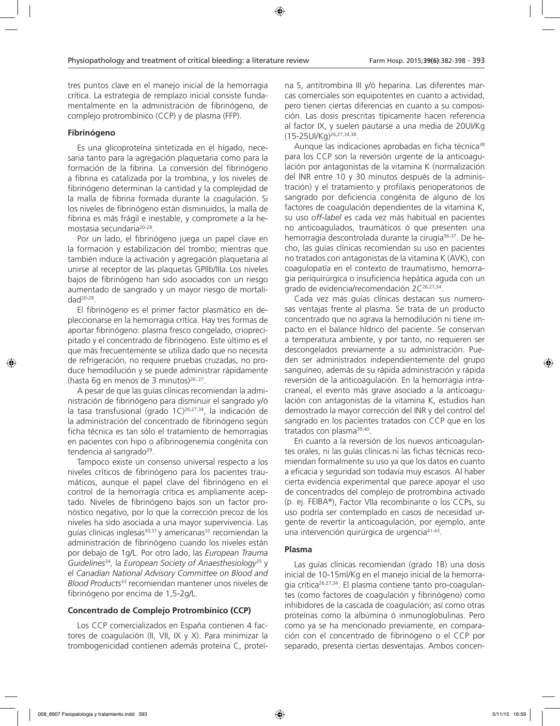tres puntos clave en el manejo inicial de la hemorragia crítica. La estrategia de remplazo inicial consiste fundamentalmente en la administración de fibrinógeno, de complejo protrombínico (CCP) y de plasma (FFP).

### **Fibrinógeno**

Es una glicoproteína sintetizada en el hígado, necesaria tanto para la agregación plaquetaria como para la formación de la fibrina. La conversión del fibrinógeno a fibrina es catalizada por la trombina, y los niveles de fibrinógeno determinan la cantidad y la complejidad de la malla de fibrina formada durante la coagulación. Si los niveles de fibrinógeno están disminuidos, la malla de fibrina es más frágil e inestable, y compromete a la hemostasia secundaria20-28.

Por un lado, el fibrinógeno juega un papel clave en la formación y estabilización del trombo; mientras que también induce la activación y agregación plaquetaria al unirse al receptor de las plaquetas GPIIb/IIIa. Los niveles bajos de fibrinógeno han sido asociados con un riesgo aumentado de sangrado y un mayor riesgo de mortali $d$ ad<sup>20-28</sup>.

El fibrinógeno es el primer factor plasmático en depleccionarse en la hemorragia crítica. Hay tres formas de aportar fibrinógeno: plasma fresco congelado, crioprecipitado y el concentrado de fibrinógeno. Este último es el que más frecuentemente se utiliza dado que no necesita de refrigeración, no requiere pruebas cruzadas, no produce hemodilución y se puede administrar rápidamente (hasta 6g en menos de 3 minutos)<sup>26, 27</sup>.

A pesar de que las guías clínicas recomiendan la administración de fibrinógeno para disminuir el sangrado y/ó la tasa transfusional (grado 1C)<sup>26,27,34</sup>, la indicación de la administración del concentrado de fibrinógeno según ficha técnica es tan sólo el tratamiento de hemorragias en pacientes con hipo o afibrinogenemia congénita con tendencia al sangrado<sup>29</sup>.

Tampoco existe un consenso universal respecto a los niveles críticos de fibrinógeno para los pacientes traumáticos, aunque el papel clave del fibrinógeno en el control de la hemorragía crítica es ampliamente aceptado. Niveles de fibrinógeno bajos son un factor pronóstico negativo, por lo que la corrección precoz de los niveles ha sido asociada a una mayor supervivencia. Las guías clínicas inglesas $30,31$  y americanas $32$  recomiendan la administración de fibrinógeno cuando los niveles están por debajo de 1g/L. Por otro lado, las *European Trauma Guidelines*<sup>34</sup>*,* la *European Society of Anaesthesiology*<sup>35</sup> y el *Canadian National Advisory Committee on Blood and Blood Products*<sup>33</sup> recomiendan mantener unos niveles de fibrinógeno por encima de 1,5-2g/L.

### **Concentrado de Complejo Protrombínico (CCP)**

Los CCP comercializados en España contienen 4 factores de coagulación (II, VII, IX y X). Para minimizar la trombogenicidad contienen además proteína C, proteí-

na S, antitrombina III y/ó heparina. Las diferentes marcas comerciales son equipotentes en cuanto a actividad, pero tienen ciertas diferencias en cuanto a su composición. Las dosis prescritas típicamente hacen referencia al factor IX, y suelen pautarse a una media de 20UI/Kg (15-25UI/Kg)26,27,34,38.

Aunque las indicaciones aprobadas en ficha técnica<sup>38</sup> para los CCP son la reversión urgente de la anticoagulación por antagonistas de la vitamina K (normalización del INR entre 10 y 30 minutos después de la administración) y el tratamiento y profilaxis perioperatorios de sangrado por deficiencia congénita de alguno de los factores de coagulación dependientes de la vitamina K, su uso *off-label* es cada vez más habitual en pacientes no anticoagulados, traumáticos ó que presenten una hemorragia descontrolada durante la cirugía<sup>36-37</sup>. De hecho, las guías clínicas recomiendan su uso en pacientes no tratados con antagonistas de la vitamina K (AVK), con coagulopatía en el contexto de traumatismo, hemorragia periquirúrgica o insuficiencia hepática aguda con un grado de evidencia/recomendación 2C<sup>26,27,34</sup>.

Cada vez más guías clínicas destacan sus numerosas ventajas frente al plasma. Se trata de un producto concentrado que no agrava la hemodilución ni tiene impacto en el balance hídrico del paciente. Se conservan a temperatura ambiente, y por tanto, no requieren ser descongelados previamente a su administración. Pueden ser administrados independientemente del grupo sanguíneo, además de su rápida administración y rápida reversión de la anticoagulación. En la hemorragia intracraneal, el evento más grave asociado a la anticoagulación con antagonistas de la vitamina K, estudios han demostrado la mayor corrección del INR y del control del sangrado en los pacientes tratados con CCP que en los tratados con plasma<sup>39,40</sup>.

En cuanto a la reversión de los nuevos anticoagulantes orales, ni las guías clínicas ni las fichas técnicas recomiendan formalmente su uso ya que los datos en cuanto a eficacia y seguridad son todavía muy escasos. Al haber cierta evidencia experimental que parece apoyar el uso de concentrados del complejo de protrombina activado (p. ej. FEIBA®), Factor VIIa recombinante o los CCPs, su uso podría ser contemplado en casos de necesidad urgente de revertir la anticoagulación, por ejemplo, ante una intervención quirúrgica de urgencia41-43.

### **Plasma**

Las guías clínicas recomiendan (grado 1B) una dosis inicial de 10-15ml/Kg en el manejo inicial de la hemorragia crítica<sup>26,27,34</sup>. El plasma contiene tanto pro-coagulantes (como factores de coagulación y fibrinógeno) como inhibidores de la cascada de coagulación; así como otras proteínas como la albúmina ó inmunoglobulinas. Pero como ya se ha mencionado previamente, en comparación con el concentrado de fibrinógeno o el CCP por separado, presenta ciertas desventajas. Ambos concen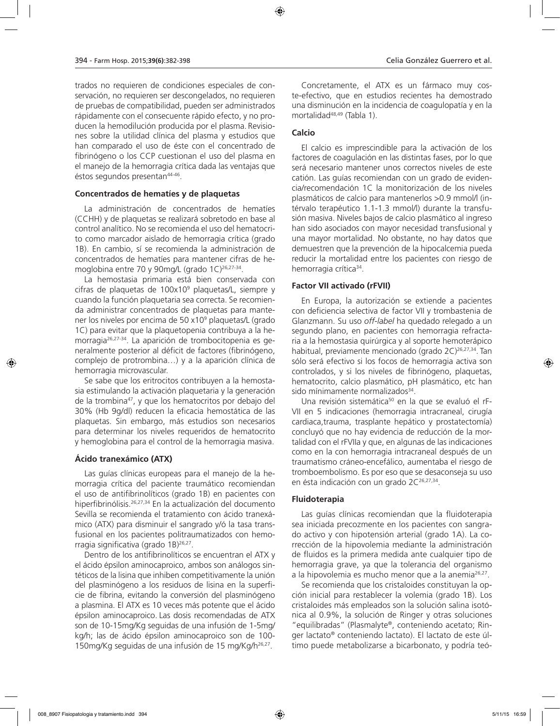trados no requieren de condiciones especiales de conservación, no requieren ser descongelados, no requieren de pruebas de compatibilidad, pueden ser administrados rápidamente con el consecuente rápido efecto, y no producen la hemodilución producida por el plasma. Revisiones sobre la utilidad clínica del plasma y estudios que han comparado el uso de éste con el concentrado de fibrinógeno o los CCP cuestionan el uso del plasma en el manejo de la hemorragia crítica dada las ventajas que éstos segundos presentan44-46.

#### **Concentrados de hematíes y de plaquetas**

La administración de concentrados de hematíes (CCHH) y de plaquetas se realizará sobretodo en base al control analítico. No se recomienda el uso del hematocrito como marcador aislado de hemorragia crítica (grado 1B). En cambio, sí se recomienda la administración de concentrados de hematíes para mantener cifras de hemoglobina entre 70 y 90mg/L (grado 1C)<sup>26,27-34</sup>.

La hemostasia primaria está bien conservada con cifras de plaquetas de 100x109 plaquetas/L, siempre y cuando la función plaquetaria sea correcta. Se recomienda administrar concentrados de plaquetas para mantener los niveles por encima de 50 x10<sup>9</sup> plaquetas/L (grado 1C) para evitar que la plaquetopenia contribuya a la hemorragia26,27-34. La aparición de trombocitopenia es generalmente posterior al déficit de factores (fibrinógeno, complejo de protrombina…) y a la aparición clínica de hemorragia microvascular.

Se sabe que los eritrocitos contribuyen a la hemostasia estimulando la activación plaquetaria y la generación de la trombina47, y que los hematocritos por debajo del 30% (Hb 9g/dl) reducen la eficacia hemostática de las plaquetas. Sin embargo, más estudios son necesarios para determinar los niveles requeridos de hematocrito y hemoglobina para el control de la hemorragia masiva.

### **Ácido tranexámico (ATX)**

Las guías clínicas europeas para el manejo de la hemorragia crítica del paciente traumático recomiendan el uso de antifibrinolíticos (grado 1B) en pacientes con hiperfibrinólisis.26,27,34 En la actualización del documento Sevilla se recomienda el tratamiento con ácido tranexámico (ATX) para disminuir el sangrado y/ó la tasa transfusional en los pacientes politraumatizados con hemorragia significativa (grado 1B)26,27.

Dentro de los antifibrinolíticos se encuentran el ATX y el ácido épsilon aminocaproico, ambos son análogos sintéticos de la lisina que inhiben competitivamente la unión del plasminógeno a los residuos de lisina en la superficie de fibrina, evitando la conversión del plasminógeno a plasmina. El ATX es 10 veces más potente que el ácido épsilon aminocaproico. Las dosis recomendadas de ATX son de 10-15mg/Kg seguidas de una infusión de 1-5mg/ kg/h; las de ácido épsilon aminocaproico son de 100- 150mg/Kg seguidas de una infusión de 15 mg/Kg/h26,27.

Concretamente, el ATX es un fármaco muy coste-efectivo, que en estudios recientes ha demostrado una disminución en la incidencia de coagulopatía y en la mortalidad48,49 (Tabla 1).

### **Calcio**

El calcio es imprescindible para la activación de los factores de coagulación en las distintas fases, por lo que será necesario mantener unos correctos niveles de este catión. Las guías recomiendan con un grado de evidencia/recomendación 1C la monitorización de los niveles plasmáticos de calcio para mantenerlos >0.9 mmol/l (intérvalo terapéutico 1.1-1.3 mmol/l) durante la transfusión masiva. Niveles bajos de calcio plasmático al ingreso han sido asociados con mayor necesidad transfusional y una mayor mortalidad. No obstante, no hay datos que demuestren que la prevención de la hipocalcemia pueda reducir la mortalidad entre los pacientes con riesgo de hemorragia crítica<sup>34</sup>.

#### **Factor VII activado (rFVII)**

En Europa, la autorización se extiende a pacientes con deficiencia selectiva de factor VII y trombastenia de Glanzmann. Su uso *off-label* ha quedado relegado a un segundo plano, en pacientes con hemorragia refractaria a la hemostasia quirúrgica y al soporte hemoterápico habitual, previamente mencionado (grado 2C)<sup>26,27,34</sup>. Tan sólo será efectivo si los focos de hemorragia activa son controlados, y si los niveles de fibrinógeno, plaquetas, hematocrito, calcio plasmático, pH plasmático, etc han sido mínimamente normalizados<sup>34</sup>.

Una revisión sistemática<sup>50</sup> en la que se evaluó el rF-VII en 5 indicaciones (hemorragia intracraneal, cirugía cardiaca,trauma, trasplante hepático y prostatectomía) concluyó que no hay evidencia de reducción de la mortalidad con el rFVIIa y que, en algunas de las indicaciones como en la con hemorragia intracraneal después de un traumatismo cráneo-encefálico, aumentaba el riesgo de tromboembolismo. Es por eso que se desaconseja su uso en ésta indicación con un grado 2C<sup>26,27,34</sup>.

#### **Fluidoterapia**

Las guías clínicas recomiendan que la fluidoterapia sea iniciada precozmente en los pacientes con sangrado activo y con hipotensión arterial (grado 1A). La corrección de la hipovolemia mediante la administración de fluidos es la primera medida ante cualquier tipo de hemorragia grave, ya que la tolerancia del organismo a la hipovolemia es mucho menor que a la anemia26,27.

Se recomienda que los cristaloides constituyan la opción inicial para restablecer la volemia (grado 1B). Los cristaloides más empleados son la solución salina isotónica al 0.9%, la solución de Ringer y otras soluciones "equilibradas" (Plasmalyte®, conteniendo acetato; Ringer lactato® conteniendo lactato). El lactato de este último puede metabolizarse a bicarbonato, y podría teó-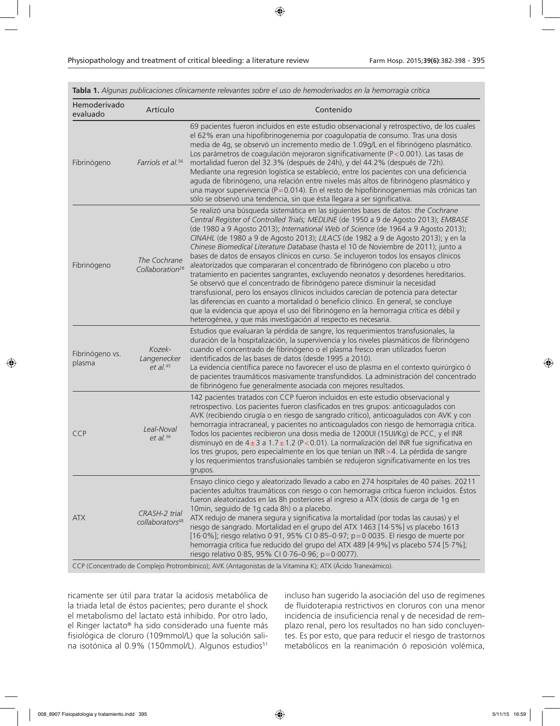| Hemoderivado<br>evaluado  | Artículo                                     | Contenido                                                                                                                                                                                                                                                                                                                                                                                                                                                                                                                                                                                                                                                                                                                                                                                                                                                                                                                                                                                                                                                                                                                            |
|---------------------------|----------------------------------------------|--------------------------------------------------------------------------------------------------------------------------------------------------------------------------------------------------------------------------------------------------------------------------------------------------------------------------------------------------------------------------------------------------------------------------------------------------------------------------------------------------------------------------------------------------------------------------------------------------------------------------------------------------------------------------------------------------------------------------------------------------------------------------------------------------------------------------------------------------------------------------------------------------------------------------------------------------------------------------------------------------------------------------------------------------------------------------------------------------------------------------------------|
| Fibrinógeno               | Farriols et al. <sup>56</sup>                | 69 pacientes fueron incluidos en este estudio observacional y retrospectivo, de los cuales<br>el 62% eran una hipofibrinogenemia por coagulopatía de consumo. Tras una dosis<br>media de 4q, se observó un incremento medio de 1.09q/L en el fibrinógeno plasmático.<br>Los parámetros de coagulación mejoraron significativamente (P<0.001). Las tasas de<br>mortalidad fueron del 32.3% (después de 24h), y del 44.2% (después de 72h).<br>Mediante una regresión logística se estableció, entre los pacientes con una deficiencia<br>aguda de fibrinógeno, una relación entre niveles más altos de fibrinógeno plasmático y<br>una mayor supervivencia ( $P = 0.014$ ). En el resto de hipofibrinogenemias más crónicas tan<br>sólo se observó una tendencia, sin que ésta llegara a ser significativa.                                                                                                                                                                                                                                                                                                                           |
| Fibrinógeno               | The Cochrane<br>Collaboration <sup>28</sup>  | Se realizó una búsqueda sistemática en las siguientes bases de datos: the Cochrane<br>Central Register of Controlled Trials; MEDLINE (de 1950 a 9 de Agosto 2013); EMBASE<br>(de 1980 a 9 Agosto 2013); International Web of Science (de 1964 a 9 Agosto 2013);<br>CINAHL (de 1980 a 9 de Agosto 2013); LILACS (de 1982 a 9 de Agosto 2013); y en la<br>Chinese Biomedical Literature Database (hasta el 10 de Noviembre de 2011); junto a<br>bases de datos de ensayos clínicos en curso. Se incluyeron todos los ensayos clínicos<br>aleatorizados que compararan el concentrado de fibrinógeno con placebo u otro<br>tratamiento en pacientes sangrantes, excluyendo neonatos y desordenes hereditarios.<br>Se observó que el concentrado de fibrinógeno parece disminuir la necesidad<br>transfusional, pero los ensayos clínicos incluidos carecían de potencia para detectar<br>las diferencias en cuanto a mortalidad ó beneficio clínico. En general, se concluye<br>que la evidencia que apoya el uso del fibrinógeno en la hemorragia crítica es débil y<br>heterogénea, y que más investigación al respecto es necesaria. |
| Fibrinógeno vs.<br>plasma | Kozek-<br>Langenecker<br>$et$ al. $45$       | Estudios que evaluaran la pérdida de sangre, los requerimientos transfusionales, la<br>duración de la hospitalización, la supervivencia y los niveles plasmáticos de fibrinógeno<br>cuando el concentrado de fibrinógeno o el plasma fresco eran utilizados fueron<br>identificados de las bases de datos (desde 1995 a 2010).<br>La evidencia científica parece no favorecer el uso de plasma en el contexto quirúrgico ó<br>de pacientes traumáticos masivamente transfundidos. La administración del concentrado<br>de fibrinógeno fue generalmente asociada con mejores resultados.                                                                                                                                                                                                                                                                                                                                                                                                                                                                                                                                              |
| <b>CCP</b>                | Leal-Noval<br>et al. $36$                    | 142 pacientes tratados con CCP fueron incluidos en este estudio observacional y<br>retrospectivo. Los pacientes fueron clasificados en tres grupos: anticoagulados con<br>AVK (recibiendo cirugía o en riesgo de sangrado crítico), anticoagulados con AVK y con<br>hemorragia intracraneal, y pacientes no anticoagulados con riesgo de hemorragia crítica.<br>Todos los pacientes recibieron una dosis media de 1200UI (15UI/Kg) de PCC, y el INR<br>disminuyó en de $4\pm 3$ a 1.7 $\pm$ 1.2 (P<0.01). La normalización del INR fue significativa en<br>los tres grupos, pero especialmente en los que tenían un INR > 4. La pérdida de sangre<br>y los requerimientos transfusionales también se redujeron significativamente en los tres<br>grupos.                                                                                                                                                                                                                                                                                                                                                                             |
| <b>ATX</b>                | CRASH-2 trial<br>collaborators <sup>48</sup> | Ensayo clínico ciego y aleatorizado llevado a cabo en 274 hospitales de 40 países. 20211<br>pacientes adultos traumáticos con riesgo o con hemorragia crítica fueron incluidos. Éstos<br>fueron aleatorizados en las 8h posteriores al ingreso a ATX (dosis de carga de 1g en<br>10min, seguido de 1g cada 8h) o a placebo.<br>ATX redujo de manera segura y significativa la mortalidad (por todas las causas) y el<br>riesgo de sangrado. Mortalidad en el grupo del ATX 1463 [14·5%] vs placebo 1613<br>[16.0%]; riesgo relativo 0.91, 95% CI 0.85-0.97; p=0.0035. El riesgo de muerte por<br>hemorragia crítica fue reducido del grupo del ATX 489 [4·9%] vs placebo 574 [5·7%];<br>riesgo relativo 0.85, 95% CI 0.76-0.96; p=0.0077).<br>CCP (Concentrado de Complejo Protrombínico); AVK (Antagonistas de la Vitamina K); ATX (Ácido Tranexámico).                                                                                                                                                                                                                                                                             |

**Tabla 1.** *Algunas publicaciones clínicamente relevantes sobre el uso de hemoderivados en la hemorragia crítica*

ricamente ser útil para tratar la acidosis metabólica de la triada letal de éstos pacientes; pero durante el shock el metabolismo del lactato está inhibido. Por otro lado, el Ringer lactato® ha sido considerado una fuente más fisiológica de cloruro (109mmol/L) que la solución salina isotónica al 0.9% (150mmol/L). Algunos estudios<sup>51</sup>

incluso han sugerido la asociación del uso de regímenes de fluidoterapia restrictivos en cloruros con una menor incidencia de insuficiencia renal y de necesidad de remplazo renal, pero los resultados no han sido concluyentes. Es por esto, que para reducir el riesgo de trastornos metabólicos en la reanimación ó reposición volémica,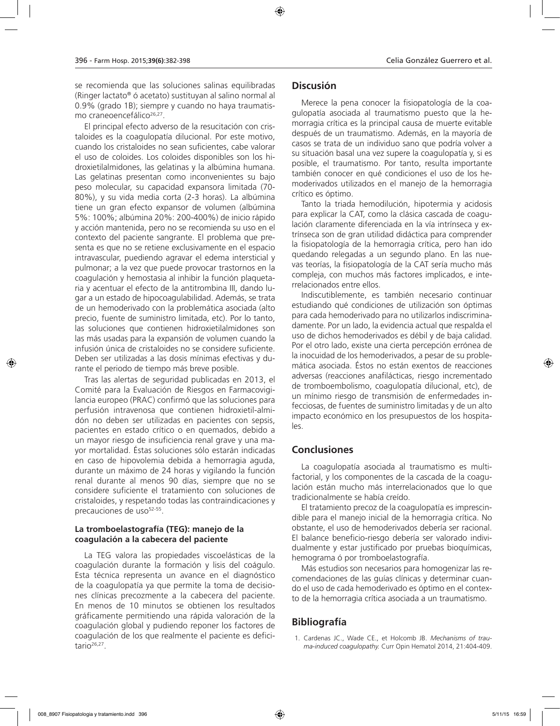se recomienda que las soluciones salinas equilibradas (Ringer lactato® ó acetato) sustituyan al salino normal al 0.9% (grado 1B); siempre y cuando no haya traumatismo craneoencefálico<sup>26,27</sup>.

El principal efecto adverso de la resucitación con cristaloides es la coagulopatía dilucional. Por este motivo, cuando los cristaloides no sean suficientes, cabe valorar el uso de coloides. Los coloides disponibles son los hidroxietilalmidones, las gelatinas y la albúmina humana. Las gelatinas presentan como inconvenientes su bajo peso molecular, su capacidad expansora limitada (70- 80%), y su vida media corta (2-3 horas). La albúmina tiene un gran efecto expansor de volumen (albúmina 5%: 100%; albúmina 20%: 200-400%) de inicio rápido y acción mantenida, pero no se recomienda su uso en el contexto del paciente sangrante. El problema que presenta es que no se retiene exclusivamente en el espacio intravascular, puediendo agravar el edema intersticial y pulmonar; a la vez que puede provocar trastornos en la coagulación y hemostasia al inhibir la función plaquetaria y acentuar el efecto de la antitrombina III, dando lugar a un estado de hipocoagulabilidad. Además, se trata de un hemoderivado con la problemática asociada (alto precio, fuente de suministro limitada, etc). Por lo tanto, las soluciones que contienen hidroxietilalmidones son las más usadas para la expansión de volumen cuando la infusión única de cristaloides no se considere suficiente. Deben ser utilizadas a las dosis mínimas efectivas y durante el periodo de tiempo más breve posible.

Tras las alertas de seguridad publicadas en 2013, el Comité para la Evaluación de Riesgos en Farmacovigilancia europeo (PRAC) confirmó que las soluciones para perfusión intravenosa que contienen hidroxietil-almidón no deben ser utilizadas en pacientes con sepsis, pacientes en estado crítico o en quemados, debido a un mayor riesgo de insuficiencia renal grave y una mayor mortalidad. Éstas soluciones sólo estarán indicadas en caso de hipovolemia debida a hemorragia aguda, durante un máximo de 24 horas y vigilando la función renal durante al menos 90 días, siempre que no se considere suficiente el tratamiento con soluciones de cristaloides, y respetando todas las contraindicaciones y precauciones de uso<sup>52-55</sup>.

### **La tromboelastografía (TEG): manejo de la coagulación a la cabecera del paciente**

La TEG valora las propiedades viscoelásticas de la coagulación durante la formación y lisis del coágulo. Esta técnica representa un avance en el diagnóstico de la coagulopatía ya que permite la toma de decisiones clínicas precozmente a la cabecera del paciente. En menos de 10 minutos se obtienen los resultados gráficamente permitiendo una rápida valoración de la coagulación global y pudiendo reponer los factores de coagulación de los que realmente el paciente es deficitario $26,27$ .

### **Discusión**

Merece la pena conocer la fisiopatología de la coagulopatía asociada al traumatismo puesto que la hemorragia crítica es la principal causa de muerte evitable después de un traumatismo. Además, en la mayoría de casos se trata de un individuo sano que podría volver a su situación basal una vez supere la coagulopatía y, si es posible, el traumatismo. Por tanto, resulta importante también conocer en qué condiciones el uso de los hemoderivados utilizados en el manejo de la hemorragia crítico es óptimo.

Tanto la triada hemodilución, hipotermia y acidosis para explicar la CAT, como la clásica cascada de coagulación claramente diferenciada en la vía intrínseca y extrínseca son de gran utilidad didáctica para comprender la fisiopatología de la hemorragia crítica, pero han ido quedando relegadas a un segundo plano. En las nuevas teorías, la fisiopatología de la CAT sería mucho más compleja, con muchos más factores implicados, e interrelacionados entre ellos.

Indiscutiblemente, es también necesario continuar estudiando qué condiciones de utilización son óptimas para cada hemoderivado para no utilizarlos indiscriminadamente. Por un lado, la evidencia actual que respalda el uso de dichos hemoderivados es débil y de baja calidad. Por el otro lado, existe una cierta percepción errónea de la inocuidad de los hemoderivados, a pesar de su problemática asociada. Éstos no están exentos de reacciones adversas (reacciones anafilácticas, riesgo incrementado de tromboembolismo, coagulopatía dilucional, etc), de un mínimo riesgo de transmisión de enfermedades infecciosas, de fuentes de suministro limitadas y de un alto impacto económico en los presupuestos de los hospitales.

### **Conclusiones**

La coagulopatía asociada al traumatismo es multifactorial, y los componentes de la cascada de la coagulación están mucho más interrelacionados que lo que tradicionalmente se había creído.

El tratamiento precoz de la coagulopatía es imprescindible para el manejo inicial de la hemorragia crítica. No obstante, el uso de hemoderivados debería ser racional. El balance beneficio-riesgo debería ser valorado individualmente y estar justificado por pruebas bioquímicas, hemograma ó por tromboelastografía.

Más estudios son necesarios para homogenizar las recomendaciones de las guías clínicas y determinar cuando el uso de cada hemoderivado es óptimo en el contexto de la hemorragia crítica asociada a un traumatismo.

# **Bibliografía**

1. Cardenas JC., Wade CE., et Holcomb JB. *Mechanisms of trauma-induced coagulopathy.* Curr Opin Hematol 2014, 21:404-409.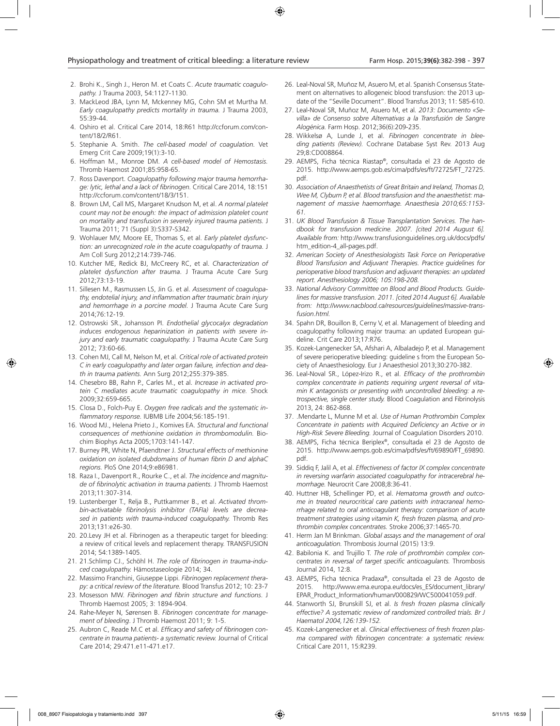- 2. Brohi K., Singh J., Heron M. et Coats C. *Acute traumatic coagulopathy.* J Trauma 2003, 54:1127-1130.
- 3. MackLeod JBA, Lynn M, Mckenney MG, Cohn SM et Murtha M. *Early coagulopathy predicts mortality in trauma.* J Trauma 2003, 55:39-44.
- 4. Oshiro et al. Critical Care 2014, 18:R61 http://ccforum.com/content/18/2/R61.
- 5. Stephanie A. Smith. *The cell-based model of coagulation.* Vet Emerg Crit Care 2009;19(1):3-10.
- 6. Hoffman M., Monroe DM. *A cell-based model of Hemostasis.*  Thromb Haemost 2001;85:958-65.
- 7. Ross Davenport. *Coagulopathy following major trauma hemorrhage: lytic, lethal and a lack of fibrinogen.* Critical Care 2014, 18:151 http://ccforum.com/content/18/3/151.
- 8. Brown LM, Call MS, Margaret Knudson M, et al. *A normal platelet count may not be enough: the impact of admission platelet count on mortality and transfusion in severely injured trauma patients.* J Trauma 2011; 71 (Suppl 3):S337-S342.
- 9. Wohlauer MV, Moore EE, Thomas S, et al. *Early platelet dysfunction: an unrecognized role in the acute coagulopathy of trauma.* J Am Coll Surg 2012;214:739-746.
- 10. Kutcher ME, Redick BJ, McCreery RC, et al. *Characterization of platelet dysfunction after trauma*. J Trauma Acute Care Surg 2012;73:13-19.
- 11. Sillesen M., Rasmussen LS, Jin G. et al. *Assessment of coagulopathy, endotelial injury, and inflammation after traumatic brain injury and hemorrhage in a porcine model.* J Trauma Acute Care Surg 2014;76:12-19.
- 12. Ostrowski SR., Johansson PI. *Endothelial glycocalyx degradation induces endogenous heparinization in patients with severe injury and early traumatic coagulopathy.* J Trauma Acute Care Surg 2012; 73:60-66.
- 13. Cohen MJ, Call M, Nelson M, et al. *Critical role of activated protein C in early coagulopathy and later organ failure, infection and death in trauma patients.* Ann Surg 2012;255:379-385.
- 14. Chesebro BB, Rahn P., Carles M., et al. *Increase in activated protein C mediates acute traumatic coagulopathy in mice.* Shock 2009;32:659-665.
- 15. Closa D., Folch-Puy E. *Oxygen free radicals and the systematic inflammatory response.* IUBMB Life 2004;56:185-191.
- 16. Wood MJ., Helena Prieto J., Komives EA. *Structural and functional consequences of methionine oxidation in thrombomodulin.* Biochim Biophys Acta 2005;1703:141-147.
- 17. Burney PR, White N, Pfaendtner J. *Structural effects of methionine oxidation on isolated dubdomains of human fibrin D and alphaC regions.* PloS One 2014;9:e86981.
- 18. Raza I., Davenport R., Rourke C., et al. *The incidence and magnitude of fibrinolytic activation in trauma patients.* J Thromb Haemost 2013;11:307-314.
- 19. Lustenberger T., Relja B., Puttkammer B., et al. *Activated thrombin-activatable fibrinolysis inhibitor (TAFIa) levels are decreased in patients with trauma-induced coagulopathy.* Thromb Res 2013;131:e26-30.
- 20. 20.Levy JH et al. Fibrinogen as a therapeutic target for bleeding: a review of critical levels and replacement therapy. TRANSFUSION 2014; 54:1389-1405.
- 21. 21.Schlimp CJ., Schöhl H. *The role of fibrinogen in trauma-induced coagulopathy.* Hämostaseologie 2014; 34.
- 22. Massimo Franchini, Giuseppe Lippi. *Fibrinogen replacement therapy: a critical review of the literature.* Blood Transfus 2012; 10: 23-7
- 23. Mosesson MW. *Fibrinogen and fibrin structure and functions*. J Thromb Haemost 2005; 3: 1894-904.
- 24. Rahe-Meyer N, Sørensen B. *Fibrinogen concentrate for management of bleeding*. J Thromb Haemost 2011; 9: 1-5.
- 25. Aubron C, Reade M.C et al. *Efficacy and safety of fibrinogen concentrate in trauma patients- a systematic review.* Journal of Critical Care 2014; 29:471.e11-471.e17.
- 26. Leal-Noval SR, Muñoz M, Asuero M, et al. Spanish Consensus Statement on alternatives to allogeneic blood transfusion: the 2013 update of the "Seville Document". Blood Transfus 2013; 11: 585-610.
- 27. Leal-Noval SR, Muñoz M, Asuero M, et al*. 2013: Documento «Sevilla» de Consenso sobre Alternativas a la Transfusión de Sangre Alogénica.* Farm Hosp. 2012;36(6):209-235.
- 28. Wikkelsø A, Lunde J, et al. *Fibrinogen concentrate in bleeding patients (Review).* Cochrane Database Syst Rev. 2013 Aug 29;8:CD008864.
- 29. AEMPS, Ficha técnica Riastap®, consultada el 23 de Agosto de 2015. http://www.aemps.gob.es/cima/pdfs/es/ft/72725/FT\_72725. pdf.
- 30. *Association of Anaesthetists of Great Britain and Ireland, Thomas D, Wee M, Clyburn P, et al. Blood transfusion and the anaesthetist: management of massive haemorrhage. Anaesthesia 2010;65:1153- 61.*
- 31. *UK Blood Transfusion & Tissue Transplantation Services. The handbook for transfusion medicine. 2007. [cited 2014 August 6]. Available from:* http://www.transfusionguidelines.org.uk/docs/pdfs/ htm\_edition-4\_all-pages.pdf.
- 32. *American Society of Anesthesiologists Task Force on Perioperative Blood Transfusion and Adjuvant Therapies. Practice guidelines for perioperative blood transfusion and adjuvant therapies: an updated report. Anesthesiology 2006; 105:198-208.*
- 33. *National Advisory Committee on Blood and Blood Products. Guidelines for massive transfusion. 2011. [cited 2014 August 6]. Available from: http://www.nacblood.ca/resources/guidelines/massive-transfusion.html.*
- 34. Spahn DR, Bouillon B, Cerny V, et al. Management of bleeding and coagulopathy following major trauma: an updated European guideline. Crit Care 2013;17:R76.
- 35. Kozek-Langenecker SA, Afshari A, Albaladejo P, et al. Management of severe perioperative bleeding: guideline s from the European Society of Anaesthesiology. Eur J Anaesthesiol 2013;30:270-382.
- 36. Leal-Noval SR., López-Irizo R., et al. *Efficacy of the prothrombin complex concentrate in patients requiring urgent reversal of vitamin K antagonists or presenting with uncontrolled bleeding: a retrospective, single center study.* Blood Coagulation and Fibrinolysis 2013, 24: 862-868.
- 37. .Mendarte L, Munne M et al. *Use of Human Prothrombin Complex Concentrate in patients with Acquired Deficiency an Active or in High-Risk Severe Bleeding.* Journal of Coagulation Disorders 2010.
- 38. AEMPS, Ficha técnica Beriplex®, consultada el 23 de Agosto de 2015. http://www.aemps.gob.es/cima/pdfs/es/ft/69890/FT\_69890. pdf.
- 39. Siddiq F, Jalil A, et al. *Effectiveness of factor IX complex concentrate in reversing warfarin associated coagulopathy for intracerebral hemorrhage.* Neurocrit Care 2008;8:36-41.
- 40. Huttner HB, Schellinger PD, et al. *Hematoma growth and outcome in treated neurocritical care patients with intracraneal hemorrhage related to oral anticoagulant therapy: comparison of acute treatment strategies using vitamin K, fresh frozen plasma, and prothrombin complex concentrates.* Stroke 2006;37:1465-70.
- 41. Herm Jan M Brinkman. *Global assays and the management of oral anticoagulation.* Thrombosis Journal (2015) 13:9.
- 42. Babilonia K. and Trujillo T. *The role of prothrombin complex concentrates in reversal of target specific anticoagulants.* Thrombosis Journal 2014, 12:8.
- 43. AEMPS, Ficha técnica Pradaxa®, consultada el 23 de Agosto de 2015. http://www.ema.europa.eu/docs/es\_ES/document\_library/ EPAR\_Product\_Information/human/000829/WC500041059.pdf.
- 44. Stanworth SJ, Brunskill SJ, et al. *Is fresh frozen plasma clinically effective? A systematic review of randomized controlled trials. Br J Haematol 2004,126:139-152.*
- 45. Kozek-Langenecker et al. *Clinical effectiveness of fresh frozen plasma compared with fibrinogen concentrate: a systematic review.* Critical Care 2011, 15:R239.